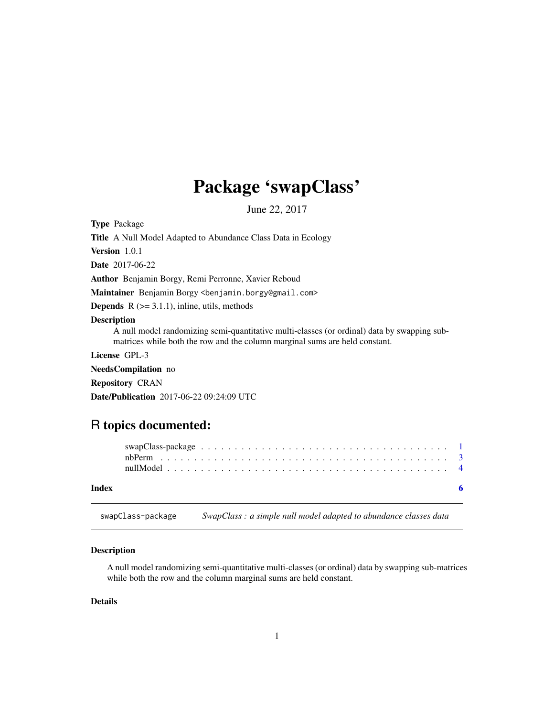## <span id="page-0-0"></span>Package 'swapClass'

June 22, 2017

<span id="page-0-1"></span>Type Package

Title A Null Model Adapted to Abundance Class Data in Ecology

Version 1.0.1

Date 2017-06-22

Author Benjamin Borgy, Remi Perronne, Xavier Reboud

Maintainer Benjamin Borgy <benjamin.borgy@gmail.com>

**Depends**  $R$  ( $>= 3.1.1$ ), inline, utils, methods

#### Description

A null model randomizing semi-quantitative multi-classes (or ordinal) data by swapping submatrices while both the row and the column marginal sums are held constant.

License GPL-3

NeedsCompilation no

Repository CRAN

Date/Publication 2017-06-22 09:24:09 UTC

### R topics documented:

| Index |  |  |  |  |  |  |  |  |  |  |  |  |  |  |  |  |
|-------|--|--|--|--|--|--|--|--|--|--|--|--|--|--|--|--|
|       |  |  |  |  |  |  |  |  |  |  |  |  |  |  |  |  |
|       |  |  |  |  |  |  |  |  |  |  |  |  |  |  |  |  |
|       |  |  |  |  |  |  |  |  |  |  |  |  |  |  |  |  |

swapClass-package *SwapClass : a simple null model adapted to abundance classes data*

#### Description

A null model randomizing semi-quantitative multi-classes (or ordinal) data by swapping sub-matrices while both the row and the column marginal sums are held constant.

#### Details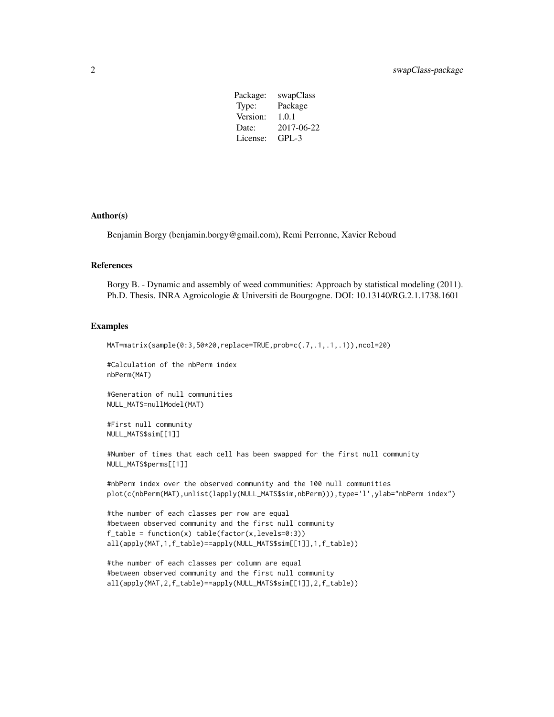| swapClass  |
|------------|
| Package    |
| 1.0.1      |
| 2017-06-22 |
| $GPI - 3$  |
|            |

#### Author(s)

Benjamin Borgy (benjamin.borgy@gmail.com), Remi Perronne, Xavier Reboud

#### References

Borgy B. - Dynamic and assembly of weed communities: Approach by statistical modeling (2011). Ph.D. Thesis. INRA Agroicologie & Universiti de Bourgogne. DOI: 10.13140/RG.2.1.1738.1601

#### Examples

```
MAT=matrix(sample(0:3,50*20,replace=TRUE,prob=c(.7,.1,.1,.1)),ncol=20)
```
#Calculation of the nbPerm index nbPerm(MAT)

#Generation of null communities NULL\_MATS=nullModel(MAT)

```
#First null community
NULL_MATS$sim[[1]]
```
#Number of times that each cell has been swapped for the first null community NULL\_MATS\$perms[[1]]

```
#nbPerm index over the observed community and the 100 null communities
plot(c(nbPerm(MAT),unlist(lapply(NULL_MATS$sim,nbPerm))),type='l',ylab="nbPerm index")
```

```
#the number of each classes per row are equal
#between observed community and the first null community
f_table = function(x) table(factor(x,levels=0:3))all(apply(MAT,1,f_table)==apply(NULL_MATS$sim[[1]],1,f_table))
```

```
#the number of each classes per column are equal
#between observed community and the first null community
all(apply(MAT,2,f_table)==apply(NULL_MATS$sim[[1]],2,f_table))
```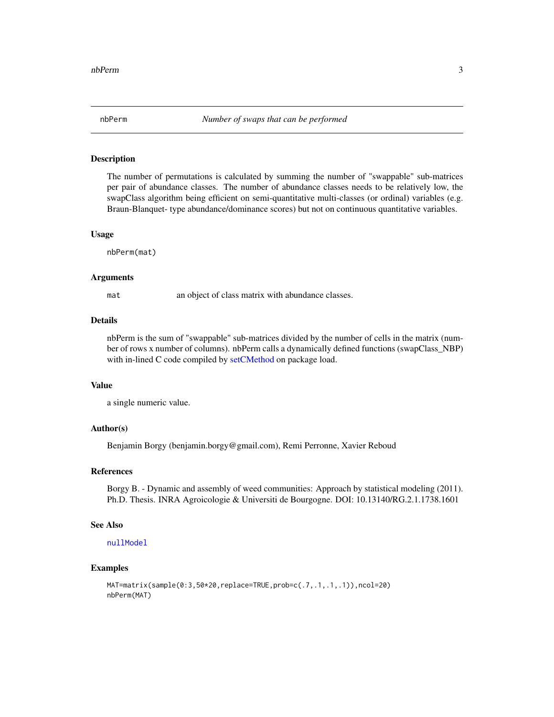<span id="page-2-1"></span><span id="page-2-0"></span>

#### Description

The number of permutations is calculated by summing the number of "swappable" sub-matrices per pair of abundance classes. The number of abundance classes needs to be relatively low, the swapClass algorithm being efficient on semi-quantitative multi-classes (or ordinal) variables (e.g. Braun-Blanquet- type abundance/dominance scores) but not on continuous quantitative variables.

#### Usage

nbPerm(mat)

#### Arguments

mat an object of class matrix with abundance classes.

#### Details

nbPerm is the sum of "swappable" sub-matrices divided by the number of cells in the matrix (number of rows x number of columns). nbPerm calls a dynamically defined functions (swapClass\_NBP) with in-lined C code compiled by [setCMethod](#page-0-1) on package load.

#### Value

a single numeric value.

#### Author(s)

Benjamin Borgy (benjamin.borgy@gmail.com), Remi Perronne, Xavier Reboud

#### References

Borgy B. - Dynamic and assembly of weed communities: Approach by statistical modeling (2011). Ph.D. Thesis. INRA Agroicologie & Universiti de Bourgogne. DOI: 10.13140/RG.2.1.1738.1601

#### See Also

[nullModel](#page-3-1)

#### Examples

```
MAT=matrix(sample(0:3,50*20,replace=TRUE,prob=c(.7,.1,.1,.1)),ncol=20)
nbPerm(MAT)
```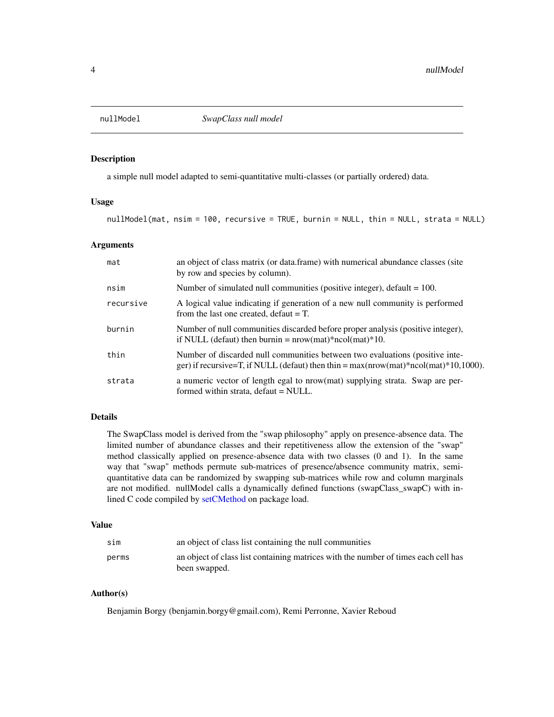<span id="page-3-1"></span><span id="page-3-0"></span>

#### Description

a simple null model adapted to semi-quantitative multi-classes (or partially ordered) data.

#### Usage

```
nullModel(mat, nsim = 100, recursive = TRUE, burnin = NULL, thin = NULL, strata = NULL)
```
#### Arguments

| mat       | an object of class matrix (or data frame) with numerical abundance classes (site<br>by row and species by column).                                                     |
|-----------|------------------------------------------------------------------------------------------------------------------------------------------------------------------------|
| nsim      | Number of simulated null communities (positive integer), $\delta$ default = 100.                                                                                       |
| recursive | A logical value indicating if generation of a new null community is performed<br>from the last one created, $default = T$ .                                            |
| burnin    | Number of null communities discarded before proper analysis (positive integer),<br>if NULL (defaut) then burnin = $nrow(mat)*ncol(mat)*10$ .                           |
| thin      | Number of discarded null communities between two evaluations (positive inte-<br>ger) if recursive=T, if NULL (defaut) then thin = $max(nrow(mat)*ncol(mat)*10,1000)$ . |
| strata    | a numeric vector of length egal to nrow(mat) supplying strata. Swap are per-<br>formed within strata, defaut = NULL.                                                   |

#### Details

The SwapClass model is derived from the "swap philosophy" apply on presence-absence data. The limited number of abundance classes and their repetitiveness allow the extension of the "swap" method classically applied on presence-absence data with two classes (0 and 1). In the same way that "swap" methods permute sub-matrices of presence/absence community matrix, semiquantitative data can be randomized by swapping sub-matrices while row and column marginals are not modified. nullModel calls a dynamically defined functions (swapClass\_swapC) with inlined C code compiled by [setCMethod](#page-0-1) on package load.

#### Value

| sim   | an object of class list containing the null communities                                             |
|-------|-----------------------------------------------------------------------------------------------------|
| perms | an object of class list containing matrices with the number of times each cell has<br>been swapped. |

#### Author(s)

Benjamin Borgy (benjamin.borgy@gmail.com), Remi Perronne, Xavier Reboud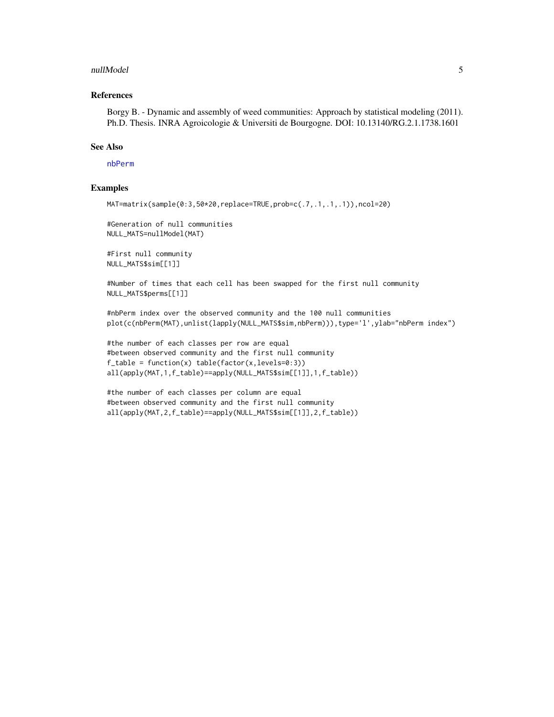#### <span id="page-4-0"></span>nullModel 5

#### References

Borgy B. - Dynamic and assembly of weed communities: Approach by statistical modeling (2011). Ph.D. Thesis. INRA Agroicologie & Universiti de Bourgogne. DOI: 10.13140/RG.2.1.1738.1601

#### See Also

#### [nbPerm](#page-2-1)

#### Examples

```
MAT=matrix(sample(0:3,50*20,replace=TRUE,prob=c(.7,.1,.1,.1)),ncol=20)
```
#Generation of null communities NULL\_MATS=nullModel(MAT)

#First null community NULL\_MATS\$sim[[1]]

#Number of times that each cell has been swapped for the first null community NULL\_MATS\$perms[[1]]

#nbPerm index over the observed community and the 100 null communities plot(c(nbPerm(MAT),unlist(lapply(NULL\_MATS\$sim,nbPerm))),type='l',ylab="nbPerm index")

#the number of each classes per row are equal #between observed community and the first null community  $f_table = function(x) table(factor(x,levels=0:3))$ all(apply(MAT,1,f\_table)==apply(NULL\_MATS\$sim[[1]],1,f\_table))

```
#the number of each classes per column are equal
#between observed community and the first null community
all(apply(MAT,2,f_table)==apply(NULL_MATS$sim[[1]],2,f_table))
```